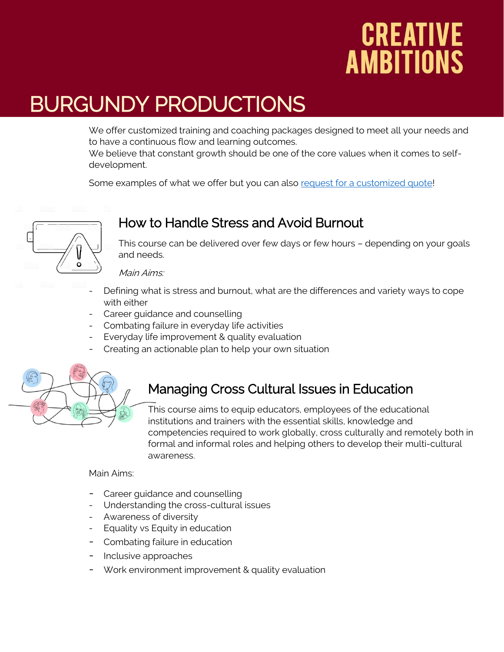## CREATIVE **AMBITIONS**

## BURGUNDY PRODUCTIONS

We offer customized training and coaching packages designed to meet all your needs and to have a continuous flow and learning outcomes.

We believe that constant growth should be one of the core values when it comes to selfdevelopment.

Some examples of what we offer but you can also [request for a customized quote!](https://www.burgundyproductions.com/get-a-quote.html)



#### How to Handle Stress and Avoid Burnout

This course can be delivered over few days or few hours – depending on your goals and needs.

Main Aims:

- Defining what is stress and burnout, what are the differences and variety ways to cope with either
- Career guidance and counselling
- Combating failure in everyday life activities
- Everyday life improvement & quality evaluation
- Creating an actionable plan to help your own situation



#### Managing Cross Cultural Issues in Education

This course aims to equip educators, employees of the educational institutions and trainers with the essential skills, knowledge and competencies required to work globally, cross culturally and remotely both in formal and informal roles and helping others to develop their multi-cultural awareness.

#### Main Aims:

- Career guidance and counselling
- Understanding the cross-cultural issues
- Awareness of diversity
- Equality vs Equity in education
- Combating failure in education
- Inclusive approaches
- Work environment improvement & quality evaluation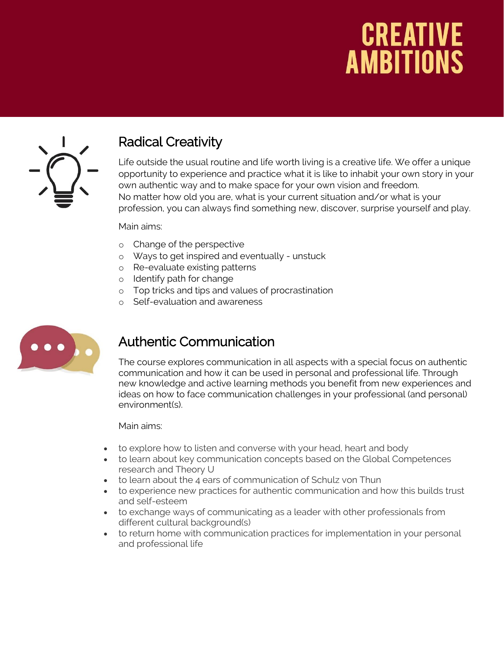## **CREATIVE AMBITIONS**



I

#### Radical Creativity

Life outside the usual routine and life worth living is a creative life. We offer a unique opportunity to experience and practice what it is like to inhabit your own story in your own authentic way and to make space for your own vision and freedom. No matter how old you are, what is your current situation and/or what is your profession, you can always find something new, discover, surprise yourself and play.

#### Main aims:

- o Change of the perspective
- o Ways to get inspired and eventually unstuck
- o Re-evaluate existing patterns
- o Identify path for change
- o Top tricks and tips and values of procrastination
- o Self-evaluation and awareness



#### Authentic Communication

The course explores communication in all aspects with a special focus on authentic communication and how it can be used in personal and professional life. Through new knowledge and active learning methods you benefit from new experiences and ideas on how to face communication challenges in your professional (and personal) environment(s).

Main aims:

- to explore how to listen and converse with your head, heart and body
- to learn about key communication concepts based on the Global Competences research and Theory U
- to learn about the 4 ears of communication of Schulz von Thun
- to experience new practices for authentic communication and how this builds trust and self-esteem
- to exchange ways of communicating as a leader with other professionals from different cultural background(s)
- to return home with communication practices for implementation in your personal and professional life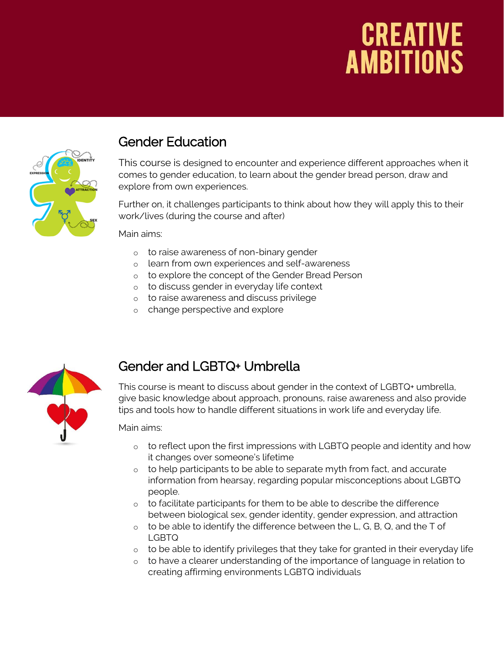# **CREATIVE**<br>**AMBITIONS**



#### Gender Education

This course is designed to encounter and experience different approaches when it comes to gender education, to learn about the gender bread person, draw and explore from own experiences.

Further on, it challenges participants to think about how they will apply this to their work/lives (during the course and after)

Main aims:

- o to raise awareness of non-binary gender
- o learn from own experiences and self-awareness
- o to explore the concept of the Gender Bread Person
- o to discuss gender in everyday life context
- o to raise awareness and discuss privilege
- o change perspective and explore



#### Gender and LGBTQ+ Umbrella

This course is meant to discuss about gender in the context of LGBTQ+ umbrella, give basic knowledge about approach, pronouns, raise awareness and also provide tips and tools how to handle different situations in work life and everyday life.

Main aims:

- o to reflect upon the first impressions with LGBTQ people and identity and how it changes over someone's lifetime
- $\circ$  to help participants to be able to separate myth from fact, and accurate information from hearsay, regarding popular misconceptions about LGBTQ people.
- o to facilitate participants for them to be able to describe the difference between biological sex, gender identity, gender expression, and attraction
- $\circ$  to be able to identify the difference between the L, G, B, Q, and the T of LGBTQ
- $\circ$  to be able to identify privileges that they take for granted in their everyday life
- o to have a clearer understanding of the importance of language in relation to creating affirming environments LGBTQ individuals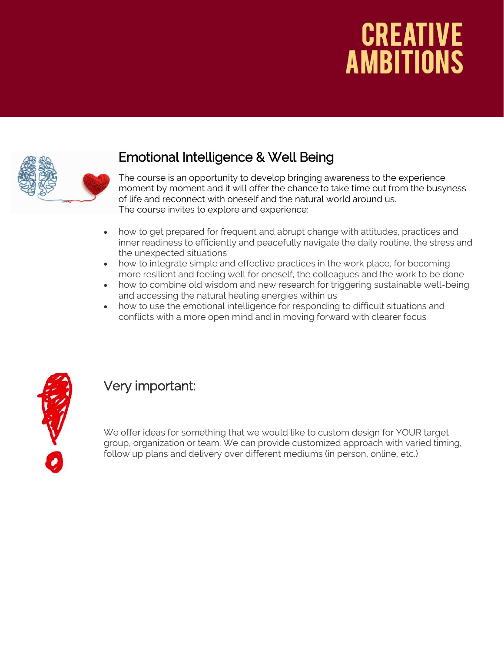## **CREATIVE AMBITIONS**



#### Emotional Intelligence & Well Being

The course is an opportunity to develop bringing awareness to the experience moment by moment and it will offer the chance to take time out from the busyness of life and reconnect with oneself and the natural world around us. The course invites to explore and experience:

- how to get prepared for frequent and abrupt change with attitudes, practices and inner readiness to efficiently and peacefully navigate the daily routine, the stress and the unexpected situations
- how to integrate simple and effective practices in the work place, for becoming more resilient and feeling well for oneself, the colleagues and the work to be done
- how to combine old wisdom and new research for triggering sustainable well-being and accessing the natural healing energies within us
- how to use the emotional intelligence for responding to difficult situations and conflicts with a more open mind and in moving forward with clearer focus



### Very important:

We offer ideas for something that we would like to custom design for YOUR target group, organization or team. We can provide customized approach with varied timing, follow up plans and delivery over different mediums (in person, online, etc.)